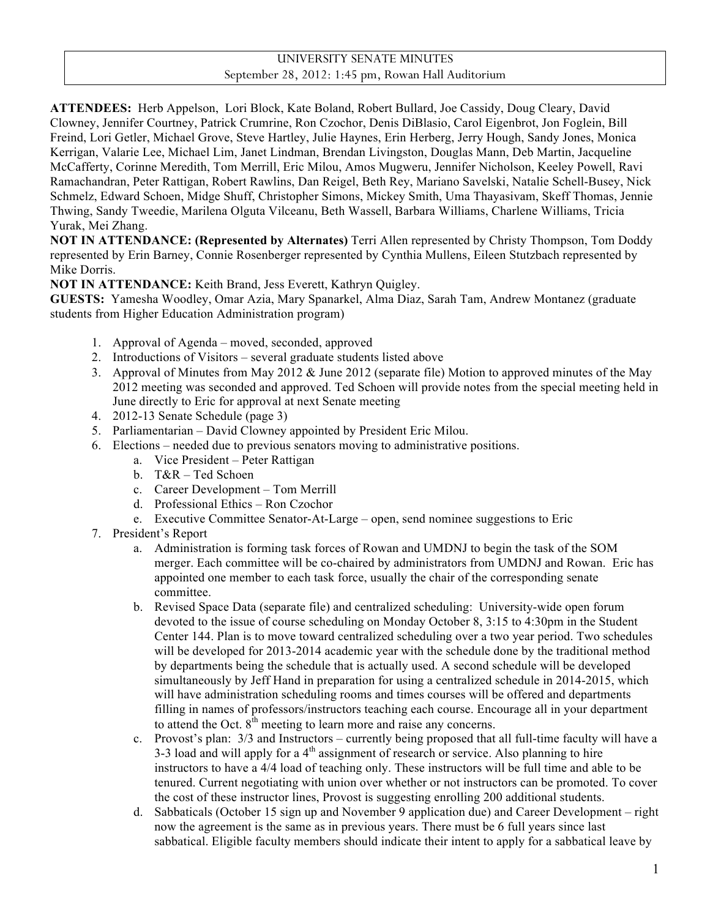## UNIVERSITY SENATE MINUTES September 28, 2012: 1:45 pm, Rowan Hall Auditorium

**ATTENDEES:** Herb Appelson, Lori Block, Kate Boland, Robert Bullard, Joe Cassidy, Doug Cleary, David Clowney, Jennifer Courtney, Patrick Crumrine, Ron Czochor, Denis DiBlasio, Carol Eigenbrot, Jon Foglein, Bill Freind, Lori Getler, Michael Grove, Steve Hartley, Julie Haynes, Erin Herberg, Jerry Hough, Sandy Jones, Monica Kerrigan, Valarie Lee, Michael Lim, Janet Lindman, Brendan Livingston, Douglas Mann, Deb Martin, Jacqueline McCafferty, Corinne Meredith, Tom Merrill, Eric Milou, Amos Mugweru, Jennifer Nicholson, Keeley Powell, Ravi Ramachandran, Peter Rattigan, Robert Rawlins, Dan Reigel, Beth Rey, Mariano Savelski, Natalie Schell-Busey, Nick Schmelz, Edward Schoen, Midge Shuff, Christopher Simons, Mickey Smith, Uma Thayasivam, Skeff Thomas, Jennie Thwing, Sandy Tweedie, Marilena Olguta Vilceanu, Beth Wassell, Barbara Williams, Charlene Williams, Tricia Yurak, Mei Zhang.

**NOT IN ATTENDANCE: (Represented by Alternates)** Terri Allen represented by Christy Thompson, Tom Doddy represented by Erin Barney, Connie Rosenberger represented by Cynthia Mullens, Eileen Stutzbach represented by Mike Dorris.

**NOT IN ATTENDANCE:** Keith Brand, Jess Everett, Kathryn Quigley.

**GUESTS:** Yamesha Woodley, Omar Azia, Mary Spanarkel, Alma Diaz, Sarah Tam, Andrew Montanez (graduate students from Higher Education Administration program)

- 1. Approval of Agenda moved, seconded, approved
- 2. Introductions of Visitors several graduate students listed above
- 3. Approval of Minutes from May 2012 & June 2012 (separate file) Motion to approved minutes of the May 2012 meeting was seconded and approved. Ted Schoen will provide notes from the special meeting held in June directly to Eric for approval at next Senate meeting
- 4. 2012-13 Senate Schedule (page 3)
- 5. Parliamentarian David Clowney appointed by President Eric Milou.
- 6. Elections needed due to previous senators moving to administrative positions.
	- a. Vice President Peter Rattigan
	- b. T&R Ted Schoen
	- c. Career Development Tom Merrill
	- d. Professional Ethics Ron Czochor
	- e. Executive Committee Senator-At-Large open, send nominee suggestions to Eric
- 7. President's Report
	- a. Administration is forming task forces of Rowan and UMDNJ to begin the task of the SOM merger. Each committee will be co-chaired by administrators from UMDNJ and Rowan. Eric has appointed one member to each task force, usually the chair of the corresponding senate committee.
	- b. Revised Space Data (separate file) and centralized scheduling: University-wide open forum devoted to the issue of course scheduling on Monday October 8, 3:15 to 4:30pm in the Student Center 144. Plan is to move toward centralized scheduling over a two year period. Two schedules will be developed for 2013-2014 academic year with the schedule done by the traditional method by departments being the schedule that is actually used. A second schedule will be developed simultaneously by Jeff Hand in preparation for using a centralized schedule in 2014-2015, which will have administration scheduling rooms and times courses will be offered and departments filling in names of professors/instructors teaching each course. Encourage all in your department to attend the Oct.  $8<sup>th</sup>$  meeting to learn more and raise any concerns.
	- c. Provost's plan: 3/3 and Instructors currently being proposed that all full-time faculty will have a 3-3 load and will apply for a  $4<sup>th</sup>$  assignment of research or service. Also planning to hire instructors to have a 4/4 load of teaching only. These instructors will be full time and able to be tenured. Current negotiating with union over whether or not instructors can be promoted. To cover the cost of these instructor lines, Provost is suggesting enrolling 200 additional students.
	- d. Sabbaticals (October 15 sign up and November 9 application due) and Career Development right now the agreement is the same as in previous years. There must be 6 full years since last sabbatical. Eligible faculty members should indicate their intent to apply for a sabbatical leave by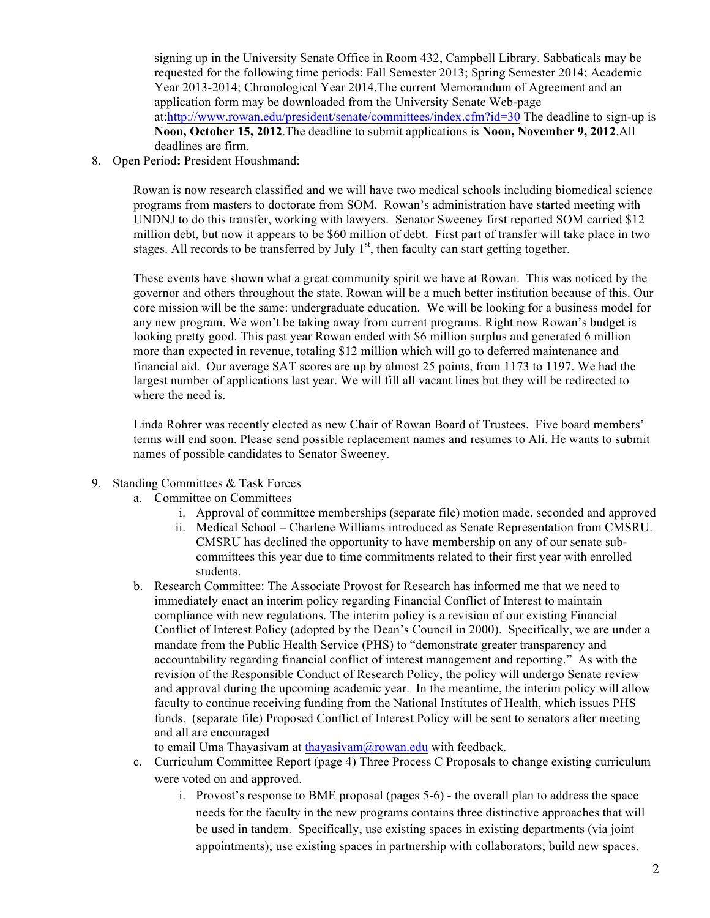signing up in the University Senate Office in Room 432, Campbell Library. Sabbaticals may be requested for the following time periods: Fall Semester 2013; Spring Semester 2014; Academic Year 2013-2014; Chronological Year 2014.The current Memorandum of Agreement and an application form may be downloaded from the University Senate Web-page at:http://www.rowan.edu/president/senate/committees/index.cfm?id=30 The deadline to sign-up is **Noon, October 15, 2012**.The deadline to submit applications is **Noon, November 9, 2012**.All deadlines are firm.

8. Open Period**:** President Houshmand:

Rowan is now research classified and we will have two medical schools including biomedical science programs from masters to doctorate from SOM. Rowan's administration have started meeting with UNDNJ to do this transfer, working with lawyers. Senator Sweeney first reported SOM carried \$12 million debt, but now it appears to be \$60 million of debt. First part of transfer will take place in two stages. All records to be transferred by July  $1<sup>st</sup>$ , then faculty can start getting together.

These events have shown what a great community spirit we have at Rowan. This was noticed by the governor and others throughout the state. Rowan will be a much better institution because of this. Our core mission will be the same: undergraduate education. We will be looking for a business model for any new program. We won't be taking away from current programs. Right now Rowan's budget is looking pretty good. This past year Rowan ended with \$6 million surplus and generated 6 million more than expected in revenue, totaling \$12 million which will go to deferred maintenance and financial aid. Our average SAT scores are up by almost 25 points, from 1173 to 1197. We had the largest number of applications last year. We will fill all vacant lines but they will be redirected to where the need is.

Linda Rohrer was recently elected as new Chair of Rowan Board of Trustees. Five board members' terms will end soon. Please send possible replacement names and resumes to Ali. He wants to submit names of possible candidates to Senator Sweeney.

- 9. Standing Committees & Task Forces
	- a. Committee on Committees
		- i. Approval of committee memberships (separate file) motion made, seconded and approved
		- ii. Medical School Charlene Williams introduced as Senate Representation from CMSRU. CMSRU has declined the opportunity to have membership on any of our senate subcommittees this year due to time commitments related to their first year with enrolled students.
	- b. Research Committee: The Associate Provost for Research has informed me that we need to immediately enact an interim policy regarding Financial Conflict of Interest to maintain compliance with new regulations. The interim policy is a revision of our existing Financial Conflict of Interest Policy (adopted by the Dean's Council in 2000). Specifically, we are under a mandate from the Public Health Service (PHS) to "demonstrate greater transparency and accountability regarding financial conflict of interest management and reporting." As with the revision of the Responsible Conduct of Research Policy, the policy will undergo Senate review and approval during the upcoming academic year. In the meantime, the interim policy will allow faculty to continue receiving funding from the National Institutes of Health, which issues PHS funds. (separate file) Proposed Conflict of Interest Policy will be sent to senators after meeting and all are encouraged

to email Uma Thayasiyam at thayasiyam@rowan.edu with feedback.

- c. Curriculum Committee Report (page 4) Three Process C Proposals to change existing curriculum were voted on and approved.
	- i. Provost's response to BME proposal (pages 5-6) the overall plan to address the space needs for the faculty in the new programs contains three distinctive approaches that will be used in tandem. Specifically, use existing spaces in existing departments (via joint appointments); use existing spaces in partnership with collaborators; build new spaces.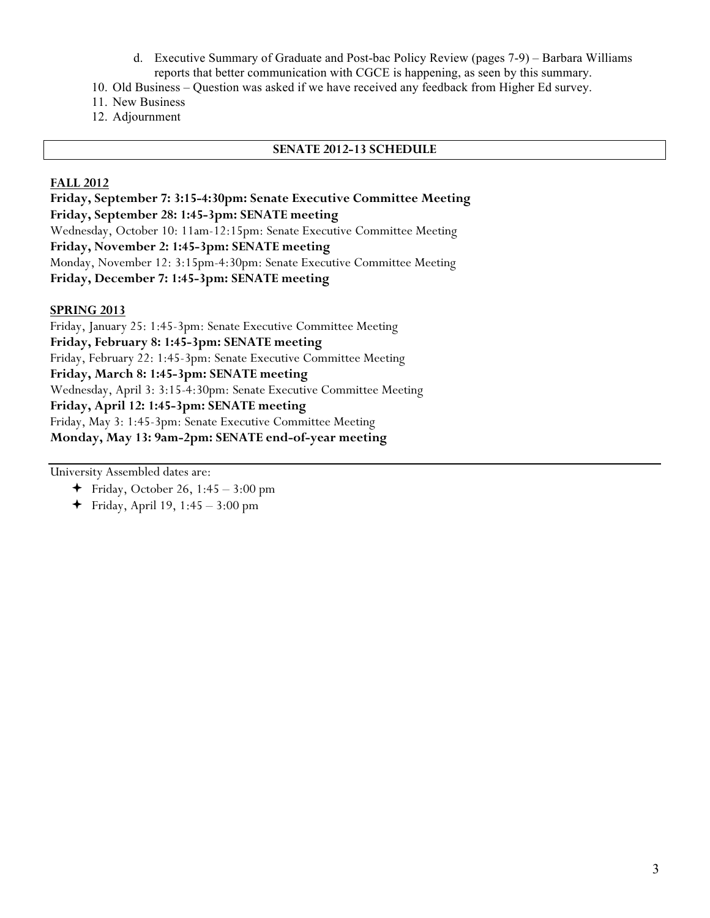- d. Executive Summary of Graduate and Post-bac Policy Review (pages 7-9) Barbara Williams reports that better communication with CGCE is happening, as seen by this summary.
- 10. Old Business Question was asked if we have received any feedback from Higher Ed survey.
- 11. New Business
- 12. Adjournment

#### **SENATE 2012-13 SCHEDULE**

#### **FALL 2012**

**Friday, September 7: 3:15-4:30pm: Senate Executive Committee Meeting Friday, September 28: 1:45-3pm: SENATE meeting** Wednesday, October 10: 11am-12:15pm: Senate Executive Committee Meeting **Friday, November 2: 1:45-3pm: SENATE meeting** Monday, November 12: 3:15pm-4:30pm: Senate Executive Committee Meeting **Friday, December 7: 1:45-3pm: SENATE meeting**

#### **SPRING 2013**

Friday, January 25: 1:45-3pm: Senate Executive Committee Meeting **Friday, February 8: 1:45-3pm: SENATE meeting** Friday, February 22: 1:45-3pm: Senate Executive Committee Meeting **Friday, March 8: 1:45-3pm: SENATE meeting** Wednesday, April 3: 3:15-4:30pm: Senate Executive Committee Meeting **Friday, April 12: 1:45-3pm: SENATE meeting** Friday, May 3: 1:45-3pm: Senate Executive Committee Meeting **Monday, May 13: 9am-2pm: SENATE end-of-year meeting**

University Assembled dates are:

- $\div$  Friday, October 26, 1:45 3:00 pm
- $\div$  Friday, April 19, 1:45 3:00 pm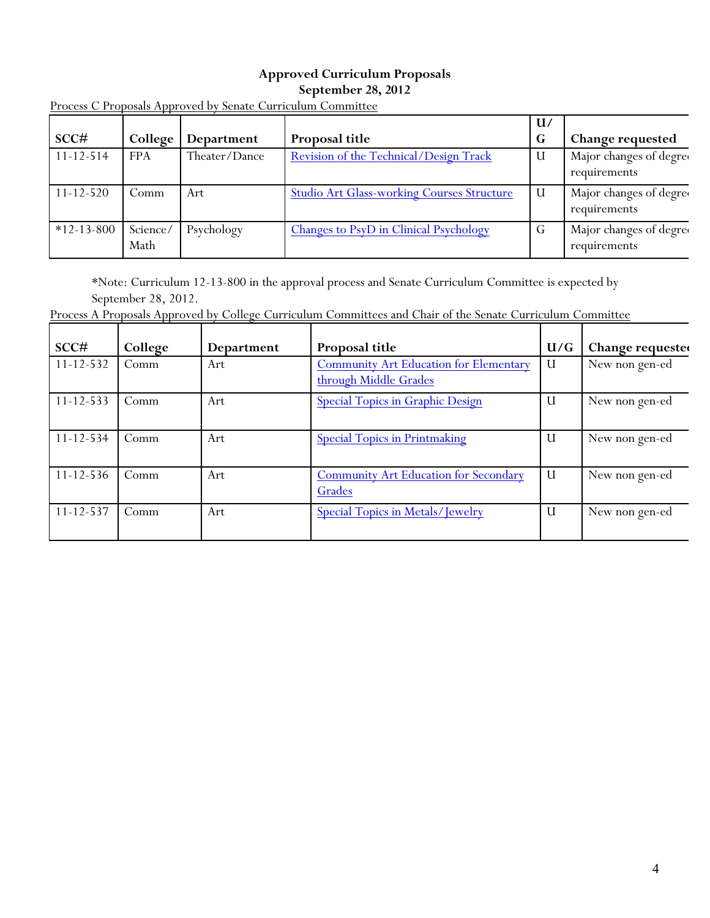## **Approved Curriculum Proposals September 28, 2012**

|                  |                  |               |                                                   | $\mathbf{U}/$ |                                         |
|------------------|------------------|---------------|---------------------------------------------------|---------------|-----------------------------------------|
| SCC#             | College          | Department    | Proposal title                                    | G             | Change requested                        |
| $11 - 12 - 514$  | <b>FPA</b>       | Theater/Dance | Revision of the Technical/Design Track            |               | Major changes of degree<br>requirements |
| $11 - 12 - 520$  | Comm             | Art           | <b>Studio Art Glass-working Courses Structure</b> |               | Major changes of degree<br>requirements |
| $*12 - 13 - 800$ | Science/<br>Math | Psychology    | <b>Changes to PsyD in Clinical Psychology</b>     | G             | Major changes of degree<br>requirements |

Process C Proposals Approved by Senate Curriculum Committee

\*Note: Curriculum 12-13-800 in the approval process and Senate Curriculum Committee is expected by September 28, 2012.

Process A Proposals Approved by College Curriculum Committees and Chair of the Senate Curriculum Committee

| SCC#            | College | Department | Proposal title                                                         | U/G          | Change requested |
|-----------------|---------|------------|------------------------------------------------------------------------|--------------|------------------|
| $11 - 12 - 532$ | Comm    | Art        | <b>Community Art Education for Elementary</b><br>through Middle Grades | U            | New non gen-ed   |
| $11 - 12 - 533$ | Comm    | Art        | <b>Special Topics in Graphic Design</b>                                | U            | New non gen-ed   |
| $11 - 12 - 534$ | Comm    | Art        | <b>Special Topics in Printmaking</b>                                   | U            | New non gen-ed   |
| $11 - 12 - 536$ | Comm    | Art        | <b>Community Art Education for Secondary</b><br>Grades                 | $\mathbf{U}$ | New non gen-ed   |
| $11 - 12 - 537$ | Comm    | Art        | <b>Special Topics in Metals/Jewelry</b>                                | U            | New non gen-ed   |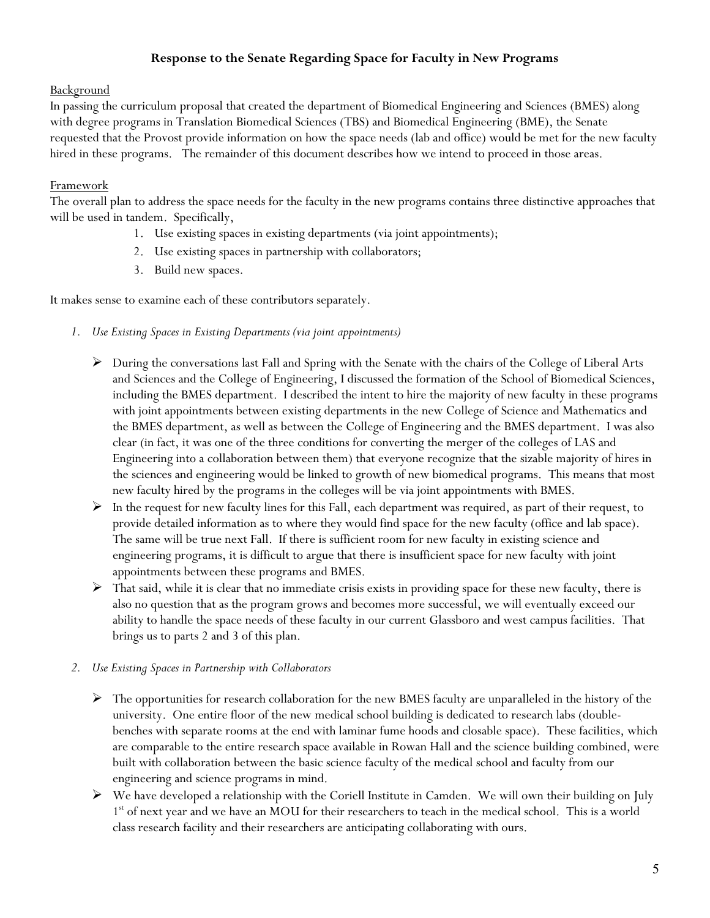## **Response to the Senate Regarding Space for Faculty in New Programs**

#### Background

In passing the curriculum proposal that created the department of Biomedical Engineering and Sciences (BMES) along with degree programs in Translation Biomedical Sciences (TBS) and Biomedical Engineering (BME), the Senate requested that the Provost provide information on how the space needs (lab and office) would be met for the new faculty hired in these programs. The remainder of this document describes how we intend to proceed in those areas.

#### **Framework**

The overall plan to address the space needs for the faculty in the new programs contains three distinctive approaches that will be used in tandem. Specifically,

- 1. Use existing spaces in existing departments (via joint appointments);
- 2. Use existing spaces in partnership with collaborators;
- 3. Build new spaces.

It makes sense to examine each of these contributors separately.

- *1. Use Existing Spaces in Existing Departments (via joint appointments)*
	- $\triangleright$  During the conversations last Fall and Spring with the Senate with the chairs of the College of Liberal Arts and Sciences and the College of Engineering, I discussed the formation of the School of Biomedical Sciences, including the BMES department. I described the intent to hire the majority of new faculty in these programs with joint appointments between existing departments in the new College of Science and Mathematics and the BMES department, as well as between the College of Engineering and the BMES department. I was also clear (in fact, it was one of the three conditions for converting the merger of the colleges of LAS and Engineering into a collaboration between them) that everyone recognize that the sizable majority of hires in the sciences and engineering would be linked to growth of new biomedical programs. This means that most new faculty hired by the programs in the colleges will be via joint appointments with BMES.
	- $\triangleright$  In the request for new faculty lines for this Fall, each department was required, as part of their request, to provide detailed information as to where they would find space for the new faculty (office and lab space). The same will be true next Fall. If there is sufficient room for new faculty in existing science and engineering programs, it is difficult to argue that there is insufficient space for new faculty with joint appointments between these programs and BMES.
	- $\triangleright$  That said, while it is clear that no immediate crisis exists in providing space for these new faculty, there is also no question that as the program grows and becomes more successful, we will eventually exceed our ability to handle the space needs of these faculty in our current Glassboro and west campus facilities. That brings us to parts 2 and 3 of this plan.
- *2. Use Existing Spaces in Partnership with Collaborators* 
	- $\triangleright$  The opportunities for research collaboration for the new BMES faculty are unparalleled in the history of the university. One entire floor of the new medical school building is dedicated to research labs (doublebenches with separate rooms at the end with laminar fume hoods and closable space). These facilities, which are comparable to the entire research space available in Rowan Hall and the science building combined, were built with collaboration between the basic science faculty of the medical school and faculty from our engineering and science programs in mind.
	- We have developed a relationship with the Coriell Institute in Camden. We will own their building on July 1<sup>st</sup> of next year and we have an MOU for their researchers to teach in the medical school. This is a world class research facility and their researchers are anticipating collaborating with ours.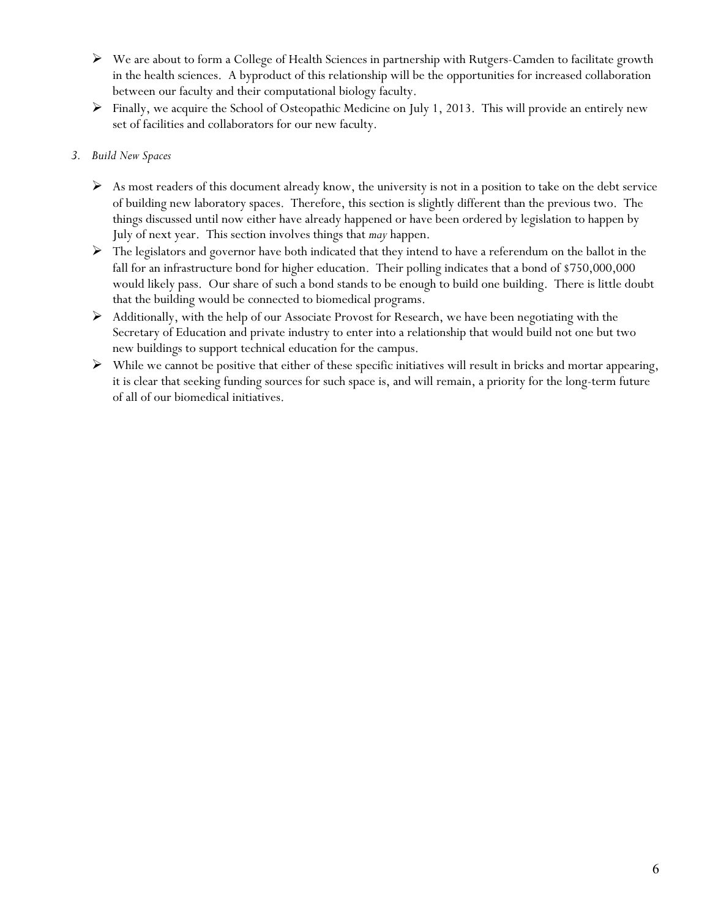- We are about to form a College of Health Sciences in partnership with Rutgers-Camden to facilitate growth in the health sciences. A byproduct of this relationship will be the opportunities for increased collaboration between our faculty and their computational biology faculty.
- $\triangleright$  Finally, we acquire the School of Osteopathic Medicine on July 1, 2013. This will provide an entirely new set of facilities and collaborators for our new faculty.

## *3. Build New Spaces*

- $\triangleright$  As most readers of this document already know, the university is not in a position to take on the debt service of building new laboratory spaces. Therefore, this section is slightly different than the previous two. The things discussed until now either have already happened or have been ordered by legislation to happen by July of next year. This section involves things that *may* happen.
- $\triangleright$  The legislators and governor have both indicated that they intend to have a referendum on the ballot in the fall for an infrastructure bond for higher education. Their polling indicates that a bond of \$750,000,000 would likely pass. Our share of such a bond stands to be enough to build one building. There is little doubt that the building would be connected to biomedical programs.
- $\triangleright$  Additionally, with the help of our Associate Provost for Research, we have been negotiating with the Secretary of Education and private industry to enter into a relationship that would build not one but two new buildings to support technical education for the campus.
- $\triangleright$  While we cannot be positive that either of these specific initiatives will result in bricks and mortar appearing, it is clear that seeking funding sources for such space is, and will remain, a priority for the long-term future of all of our biomedical initiatives.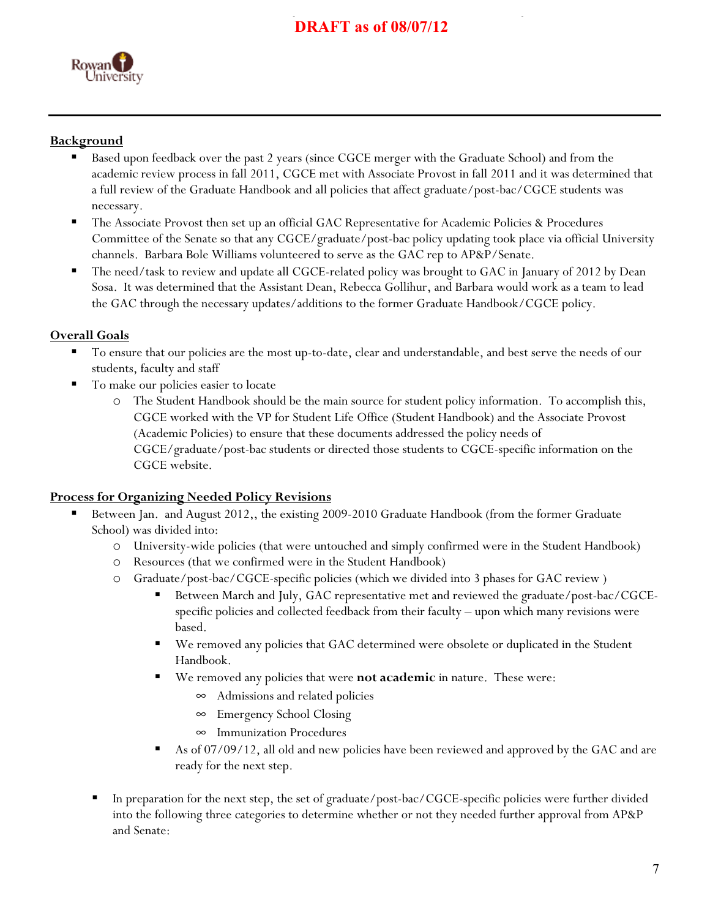# **DRAFT as of 08/07/12**



# **Background**

- Based upon feedback over the past 2 years (since CGCE merger with the Graduate School) and from the academic review process in fall 2011, CGCE met with Associate Provost in fall 2011 and it was determined that a full review of the Graduate Handbook and all policies that affect graduate/post-bac/CGCE students was necessary.
- The Associate Provost then set up an official GAC Representative for Academic Policies & Procedures Committee of the Senate so that any CGCE/graduate/post-bac policy updating took place via official University channels. Barbara Bole Williams volunteered to serve as the GAC rep to AP&P/Senate.
- The need/task to review and update all CGCE-related policy was brought to GAC in January of 2012 by Dean Sosa. It was determined that the Assistant Dean, Rebecca Gollihur, and Barbara would work as a team to lead the GAC through the necessary updates/additions to the former Graduate Handbook/CGCE policy.

# **Overall Goals**

- To ensure that our policies are the most up-to-date, clear and understandable, and best serve the needs of our students, faculty and staff
- To make our policies easier to locate
	- o The Student Handbook should be the main source for student policy information. To accomplish this, CGCE worked with the VP for Student Life Office (Student Handbook) and the Associate Provost (Academic Policies) to ensure that these documents addressed the policy needs of CGCE/graduate/post-bac students or directed those students to CGCE-specific information on the CGCE website.

#### **Process for Organizing Needed Policy Revisions**

- Between Jan. and August 2012,, the existing 2009-2010 Graduate Handbook (from the former Graduate School) was divided into:
	- o University-wide policies (that were untouched and simply confirmed were in the Student Handbook)
	- Resources (that we confirmed were in the Student Handbook)
	- o Graduate/post-bac/CGCE-specific policies (which we divided into 3 phases for GAC review )
		- Between March and July, GAC representative met and reviewed the graduate/post-bac/CGCEspecific policies and collected feedback from their faculty – upon which many revisions were based.
		- We removed any policies that GAC determined were obsolete or duplicated in the Student Handbook.
		- We removed any policies that were **not academic** in nature. These were:
			- $\infty$  Admissions and related policies
			- Emergency School Closing
			- $\infty$  Immunization Procedures
		- As of 07/09/12, all old and new policies have been reviewed and approved by the GAC and are ready for the next step.
	- In preparation for the next step, the set of graduate/post-bac/CGCE-specific policies were further divided into the following three categories to determine whether or not they needed further approval from AP&P and Senate: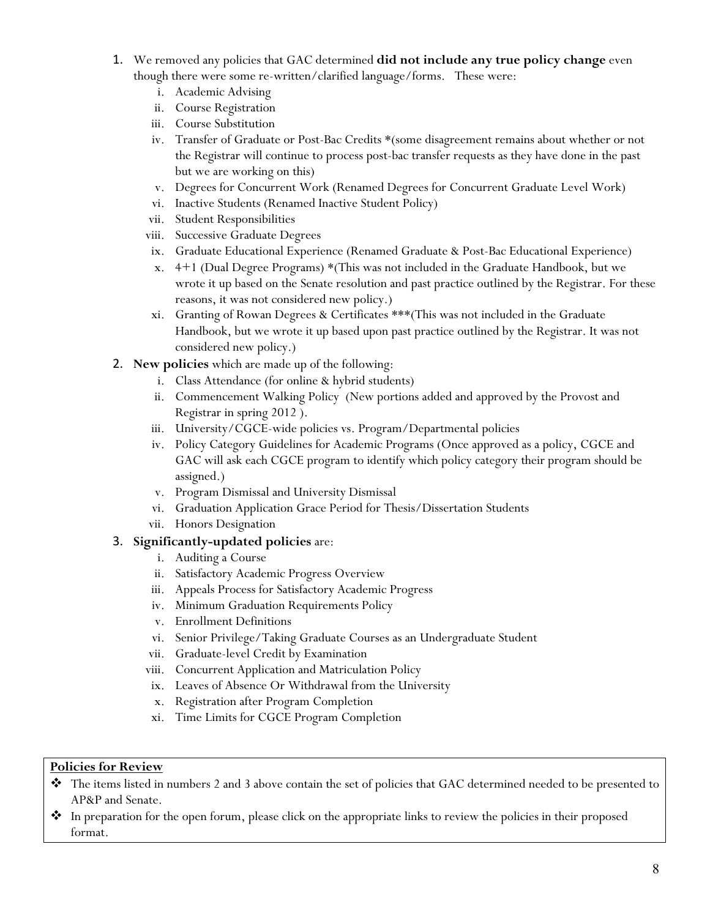- 1. We removed any policies that GAC determined **did not include any true policy change** even though there were some re-written/clarified language/forms. These were:
	- i. Academic Advising
	- ii. Course Registration
	- iii. Course Substitution
	- iv. Transfer of Graduate or Post-Bac Credits \*(some disagreement remains about whether or not the Registrar will continue to process post-bac transfer requests as they have done in the past but we are working on this)
	- v. Degrees for Concurrent Work (Renamed Degrees for Concurrent Graduate Level Work)
	- vi. Inactive Students (Renamed Inactive Student Policy)
	- vii. Student Responsibilities
	- viii. Successive Graduate Degrees
	- ix. Graduate Educational Experience (Renamed Graduate & Post-Bac Educational Experience)
	- x. 4+1 (Dual Degree Programs) \*(This was not included in the Graduate Handbook, but we wrote it up based on the Senate resolution and past practice outlined by the Registrar. For these reasons, it was not considered new policy.)
	- xi. Granting of Rowan Degrees & Certificates \*\*\*(This was not included in the Graduate Handbook, but we wrote it up based upon past practice outlined by the Registrar. It was not considered new policy.)
- 2. **New policies** which are made up of the following:
	- i. Class Attendance (for online & hybrid students)
	- ii. Commencement Walking Policy (New portions added and approved by the Provost and Registrar in spring 2012 ).
	- iii. University/CGCE-wide policies vs. Program/Departmental policies
	- iv. Policy Category Guidelines for Academic Programs (Once approved as a policy, CGCE and GAC will ask each CGCE program to identify which policy category their program should be assigned.)
	- v. Program Dismissal and University Dismissal
	- vi. Graduation Application Grace Period for Thesis/Dissertation Students
	- vii. Honors Designation

## 3. **Significantly-updated policies** are:

- i. Auditing a Course
- ii. Satisfactory Academic Progress Overview
- iii. Appeals Process for Satisfactory Academic Progress
- iv. Minimum Graduation Requirements Policy
- v. Enrollment Definitions
- vi. Senior Privilege/Taking Graduate Courses as an Undergraduate Student
- vii. Graduate-level Credit by Examination
- viii. Concurrent Application and Matriculation Policy
- ix. Leaves of Absence Or Withdrawal from the University
- x. Registration after Program Completion
- xi. Time Limits for CGCE Program Completion

#### **Policies for Review**

- The items listed in numbers 2 and 3 above contain the set of policies that GAC determined needed to be presented to AP&P and Senate.
- $\bullet$  In preparation for the open forum, please click on the appropriate links to review the policies in their proposed format.